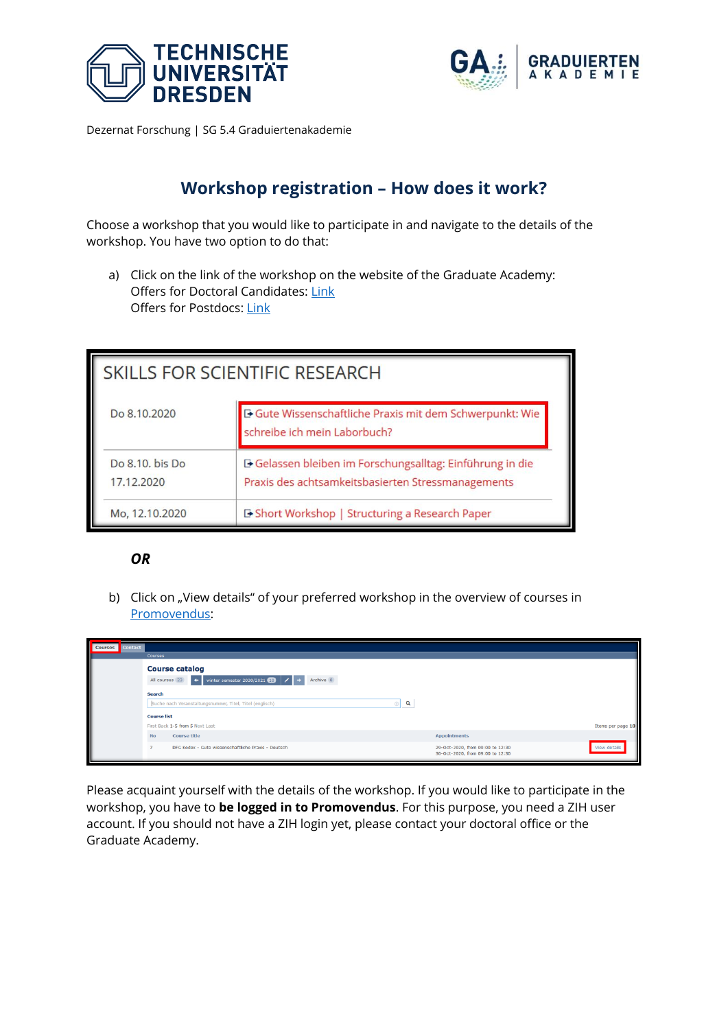



## **Workshop registration – How does it work?**

Choose a workshop that you would like to participate in and navigate to the details of the workshop. You have two option to do that:

a) Click on the link of the workshop on the website of the Graduate Academy: Offers for Doctoral Candidates[: Link](https://tu-dresden.de/ga/qualifizierung/qualifizierungsprogramm-wintersemester-2021-2022-promovierende) Offers for Postdocs: [Link](https://tu-dresden.de/ga/qualifizierung/qualifizierungsprogramm-wintersemester-2021-2022-postdocs)

| SKILLS FOR SCIENTIFIC RESEARCH |                                                                                                                 |  |
|--------------------------------|-----------------------------------------------------------------------------------------------------------------|--|
| Do 8.10.2020                   | <b>E</b> Gute Wissenschaftliche Praxis mit dem Schwerpunkt: Wie<br>schreibe ich mein Laborbuch?                 |  |
| Do 8.10, bis Do<br>17.12.2020  | D Gelassen bleiben im Forschungsalltag: Einführung in die<br>Praxis des achtsamkeitsbasierten Stressmanagements |  |
| Mo, 12.10.2020                 | <b>E-Short Workshop   Structuring a Research Paper</b>                                                          |  |

## *OR*

b) Click on "View details" of your preferred workshop in the overview of courses in [Promovendus:](https://promovendus.tu-dresden.de/courses)

| <b>Courses</b><br><b>Contact</b> | <b>Courses</b>                                                                                                |                                                                                      |
|----------------------------------|---------------------------------------------------------------------------------------------------------------|--------------------------------------------------------------------------------------|
|                                  | <b>Course catalog</b><br>Archive 8<br>$\leftarrow$ winter semester 2020/2021 0 $\leftarrow$<br>All courses 23 |                                                                                      |
|                                  | <b>Search</b><br>Q<br>Suche nach Veranstaltungsnummer, Titel, Titel (englisch)<br>$\circledcirc$              |                                                                                      |
|                                  | <b>Course list</b><br>First Back 1-5 from 5 Next Last                                                         | Items per page 10                                                                    |
|                                  | <b>Course title</b><br><b>No</b>                                                                              | <b>Appointments</b>                                                                  |
|                                  | DFG Kodex - Gute wissenschaftliche Praxis - Deutsch<br>н.                                                     | View details<br>29-Oct-2020, from 09:00 to 12:30<br>30-Oct-2020, from 09:00 to 12:30 |

Please acquaint yourself with the details of the workshop. If you would like to participate in the workshop, you have to **be logged in to Promovendus**. For this purpose, you need a ZIH user account. If you should not have a ZIH login yet, please contact your doctoral office or the Graduate Academy.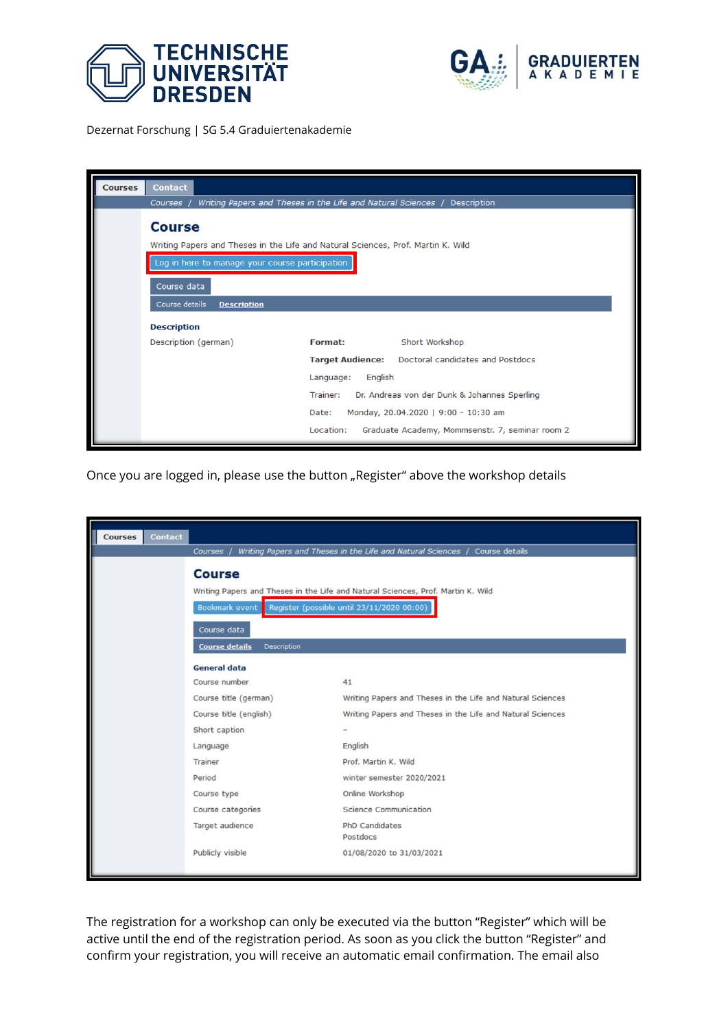



| <b>Courses</b> | <b>Contact</b>                                                                                    |                                                                             |  |
|----------------|---------------------------------------------------------------------------------------------------|-----------------------------------------------------------------------------|--|
|                | Courses /                                                                                         | Writing Papers and Theses in the Life and Natural Sciences /<br>Description |  |
|                | <b>Course</b><br>Writing Papers and Theses in the Life and Natural Sciences, Prof. Martin K. Wild |                                                                             |  |
|                | Log in here to manage your course participation                                                   |                                                                             |  |
|                | Course data                                                                                       |                                                                             |  |
|                | Course details<br><b>Description</b>                                                              |                                                                             |  |
|                | <b>Description</b>                                                                                |                                                                             |  |
|                | Description (german)                                                                              | <b>Format:</b><br>Short Workshop                                            |  |
|                |                                                                                                   | Doctoral candidates and Postdocs<br><b>Target Audience:</b>                 |  |
|                |                                                                                                   | Language:<br>English                                                        |  |
|                |                                                                                                   | Trainer:<br>Dr. Andreas von der Dunk & Johannes Sperling                    |  |
|                |                                                                                                   | Monday, 20.04.2020   9:00 - 10:30 am<br>Date:                               |  |
|                |                                                                                                   | Location:<br>Graduate Academy, Mommsenstr. 7, seminar room 2                |  |

Once you are logged in, please use the button "Register" above the workshop details

| <b>Courses</b> | <b>Contact</b> |                                                                                                                                                                          |                                                                             |  |
|----------------|----------------|--------------------------------------------------------------------------------------------------------------------------------------------------------------------------|-----------------------------------------------------------------------------|--|
|                |                | Courses /                                                                                                                                                                | Writing Papers and Theses in the Life and Natural Sciences / Course details |  |
|                |                | <b>Course</b><br>Writing Papers and Theses in the Life and Natural Sciences, Prof. Martin K. Wild<br>Register (possible until 23/11/2020 00:00)<br><b>Bookmark event</b> |                                                                             |  |
|                |                | Course data<br><b>Course details</b><br>Description<br><b>General data</b>                                                                                               |                                                                             |  |
|                |                | Course number                                                                                                                                                            | 41                                                                          |  |
|                |                | Course title (german)                                                                                                                                                    | Writing Papers and Theses in the Life and Natural Sciences                  |  |
|                |                | Course title (english)                                                                                                                                                   | Writing Papers and Theses in the Life and Natural Sciences                  |  |
|                |                | Short caption                                                                                                                                                            |                                                                             |  |
|                |                | Language                                                                                                                                                                 | English                                                                     |  |
|                |                | Trainer                                                                                                                                                                  | Prof. Martin K. Wild                                                        |  |
|                |                | Period                                                                                                                                                                   | winter semester 2020/2021                                                   |  |
|                |                | Course type                                                                                                                                                              | Online Workshop                                                             |  |
|                |                | Course categories                                                                                                                                                        | Science Communication                                                       |  |
|                |                | Target audience                                                                                                                                                          | <b>PhD Candidates</b><br>Postdocs                                           |  |
|                |                | Publicly visible                                                                                                                                                         | 01/08/2020 to 31/03/2021                                                    |  |

The registration for a workshop can only be executed via the button "Register" which will be active until the end of the registration period. As soon as you click the button "Register" and confirm your registration, you will receive an automatic email confirmation. The email also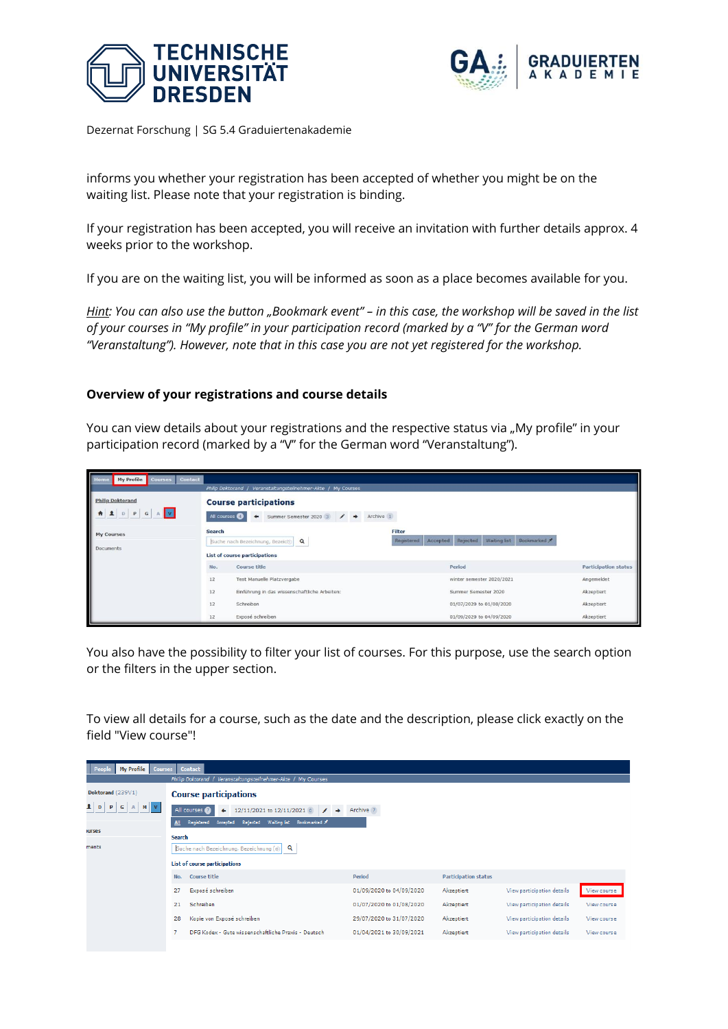



informs you whether your registration has been accepted of whether you might be on the waiting list. Please note that your registration is binding.

If your registration has been accepted, you will receive an invitation with further details approx. 4 weeks prior to the workshop.

If you are on the waiting list, you will be informed as soon as a place becomes available for you.

*Hint: You can also use the button "Bookmark event" – in this case, the workshop will be saved in the list of your courses in "My profile" in your participation record (marked by a "V" for the German word "Veranstaltung"). However, note that in this case you are not yet registered for the workshop.*

## **Overview of your registrations and course details**

You can view details about your registrations and the respective status via "My profile" in your participation record (marked by a "V" for the German word "Veranstaltung").

| <b>My Profile</b><br>Contact<br>Home<br><b>Courses</b>          |                                                                                                                                                  | Philip Doktorand / Veranstaltungsteilnehmer-Akte / My Courses               |                                                   |                             |
|-----------------------------------------------------------------|--------------------------------------------------------------------------------------------------------------------------------------------------|-----------------------------------------------------------------------------|---------------------------------------------------|-----------------------------|
| <b>Philip Doktorand</b><br> v <br>$\mathbf{P}$<br>D<br>G<br>A 1 | <b>Course participations</b><br>Summer Semester 2020 3<br>Archive 1<br>$\prime$ $\rightarrow$<br>All courses                                     |                                                                             |                                                   |                             |
| <b>My Courses</b><br>Documents                                  | <b>Filter</b><br><b>Search</b><br>Registered<br>Accepted<br>Suche nach Bezeichnung, Bezeicl®<br>$\alpha$<br><b>List of course participations</b> |                                                                             | Waiting list<br>Bookmarked<br>Rejected            |                             |
| <b>Course title</b><br>No.                                      |                                                                                                                                                  |                                                                             | Period                                            | <b>Participation status</b> |
|                                                                 | 12<br>12                                                                                                                                         | Test Manuelle Platzvergabe<br>Einführung in das wissenschaftliche Arbeiten: | winter semester 2020/2021<br>Summer Semester 2020 | Angemeldet<br>Akzeptiert    |
|                                                                 | 12                                                                                                                                               | Schreiben                                                                   | 01/07/2020 to 01/08/2020                          | Akzeptiert                  |
|                                                                 | Exposé schreiben<br>12<br>01/09/2020 to 04/09/2020                                                                                               |                                                                             | Akzeptiert                                        |                             |

You also have the possibility to filter your list of courses. For this purpose, use the search option or the filters in the upper section.

To view all details for a course, such as the date and the description, please click exactly on the field "View course"!

| My Profile   Courses   Contact<br>Peop                                         |                          |                             |                            |             |
|--------------------------------------------------------------------------------|--------------------------|-----------------------------|----------------------------|-------------|
| Philip Doktorand / Veranstaltungsteilnehmer-Akte / My Courses                  |                          |                             |                            |             |
| <b>Course participations</b>                                                   |                          |                             |                            |             |
| 12/11/2021 to 12/11/2021 0<br>Archive 7<br>All courses 2<br>$\rightarrow$<br>٠ |                          |                             |                            |             |
| Waiting list Bookmarked<br>Rejected<br>Registered<br>Accepted                  |                          |                             |                            |             |
| <b>Search</b>                                                                  |                          |                             |                            |             |
| Suche nach Bezeichnung, Bezeichnung (@)<br>Q                                   |                          |                             |                            |             |
| List of course participations                                                  |                          |                             |                            |             |
| No.<br>Course title                                                            | Period                   | <b>Participation status</b> |                            |             |
| Exposé schreiben<br>27                                                         | 01/09/2020 to 04/09/2020 | Akzeptiert                  | View participation details | View course |
| Schreiben<br>21                                                                | 01/07/2020 to 01/08/2020 | Akzeptiert                  | View participation details | View course |
| Kopie von Exposé schreiben<br>28                                               | 29/07/2020 to 31/07/2020 | Akzeptiert                  | View participation details | View course |
| DFG Kodex - Gute wissenschaftliche Praxis - Deutsch                            | 01/04/2021 to 30/09/2021 | Akzeptiert                  | View participation details | View course |
|                                                                                |                          |                             |                            |             |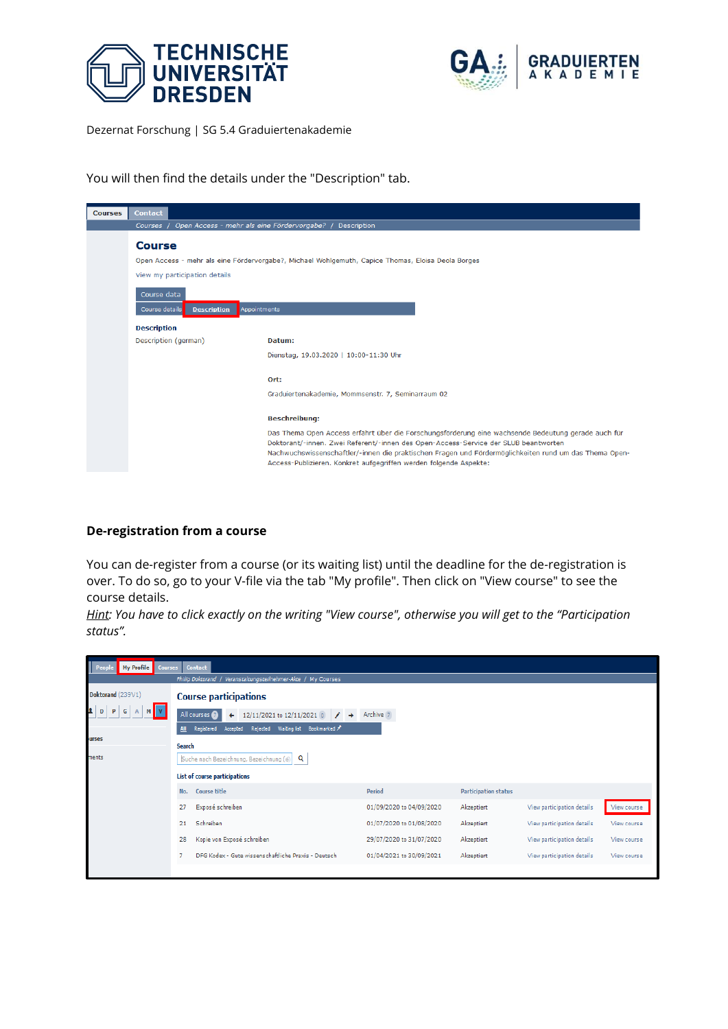



You will then find the details under the "Description" tab.

| <b>Courses</b> | <b>Contact</b>                                                                                                                                       |                                                                                                                                                                                                                                                                                                                                                                           |  |  |  |
|----------------|------------------------------------------------------------------------------------------------------------------------------------------------------|---------------------------------------------------------------------------------------------------------------------------------------------------------------------------------------------------------------------------------------------------------------------------------------------------------------------------------------------------------------------------|--|--|--|
|                | Open Access - mehr als eine Fördervorgabe?<br><b>Description</b><br><b>Courses</b>                                                                   |                                                                                                                                                                                                                                                                                                                                                                           |  |  |  |
|                | <b>Course</b><br>Open Access - mehr als eine Fördervorgabe?, Michael Wohlgemuth, Capice Thomas, Eloisa Deola Borges<br>View my participation details |                                                                                                                                                                                                                                                                                                                                                                           |  |  |  |
|                | Course data<br>Course details<br><b>Description</b><br>Appointments                                                                                  |                                                                                                                                                                                                                                                                                                                                                                           |  |  |  |
|                | <b>Description</b>                                                                                                                                   |                                                                                                                                                                                                                                                                                                                                                                           |  |  |  |
|                | Description (german)                                                                                                                                 | Datum:                                                                                                                                                                                                                                                                                                                                                                    |  |  |  |
|                |                                                                                                                                                      | Dienstag, 19.03.2020   10:00-11:30 Uhr                                                                                                                                                                                                                                                                                                                                    |  |  |  |
|                |                                                                                                                                                      | Ort:                                                                                                                                                                                                                                                                                                                                                                      |  |  |  |
|                | Graduiertenakademie, Mommsenstr. 7, Seminarraum 02                                                                                                   |                                                                                                                                                                                                                                                                                                                                                                           |  |  |  |
|                | <b>Beschreibung:</b>                                                                                                                                 |                                                                                                                                                                                                                                                                                                                                                                           |  |  |  |
|                |                                                                                                                                                      | Das Thema Open Access erfährt über die Forschungsförderung eine wachsende Bedeutung gerade auch für<br>Doktorant/-innen. Zwei Referent/-innen des Open-Access-Service der SLUB beantworten<br>Nachwuchswissenschaftler/-innen die praktischen Fragen und Fördermöglichkeiten rund um das Thema Open-<br>Access-Publizieren. Konkret aufgegriffen werden folgende Aspekte: |  |  |  |

## **De-registration from a course**

You can de-register from a course (or its waiting list) until the deadline for the de-registration is over. To do so, go to your V-file via the tab "My profile". Then click on "View course" to see the course details.

*Hint: You have to click exactly on the writing "View course", otherwise you will get to the "Participation status".*